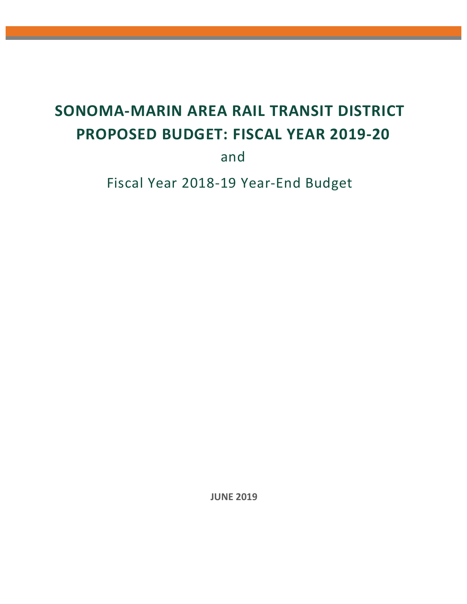# **SONOMA-MARIN AREA RAIL TRANSIT DISTRICT PROPOSED BUDGET: FISCAL YEAR 2019-20**

and

Fiscal Year 2018-19 Year-End Budget

**JUNE 2019**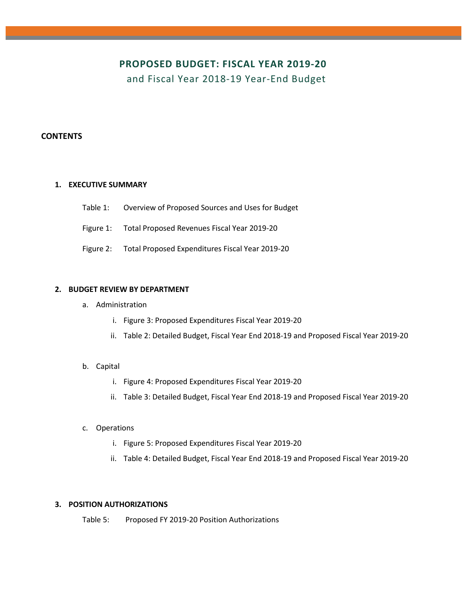### **PROPOSED BUDGET: FISCAL YEAR 2019-20**

and Fiscal Year 2018-19 Year-End Budget

#### **CONTENTS**

#### **1. EXECUTIVE SUMMARY**

- Table 1: Overview of Proposed Sources and Uses for Budget
- Figure 1: Total Proposed Revenues Fiscal Year 2019-20
- Figure 2: Total Proposed Expenditures Fiscal Year 2019-20

#### **2. BUDGET REVIEW BY DEPARTMENT**

- a. Administration
	- i. Figure 3: Proposed Expenditures Fiscal Year 2019-20
	- ii. Table 2: Detailed Budget, Fiscal Year End 2018-19 and Proposed Fiscal Year 2019-20

#### b. Capital

- i. Figure 4: Proposed Expenditures Fiscal Year 2019-20
- ii. Table 3: Detailed Budget, Fiscal Year End 2018-19 and Proposed Fiscal Year 2019-20
- c. Operations
	- i. Figure 5: Proposed Expenditures Fiscal Year 2019-20
	- ii. Table 4: Detailed Budget, Fiscal Year End 2018-19 and Proposed Fiscal Year 2019-20

#### **3. POSITION AUTHORIZATIONS**

Table 5: Proposed FY 2019-20 Position Authorizations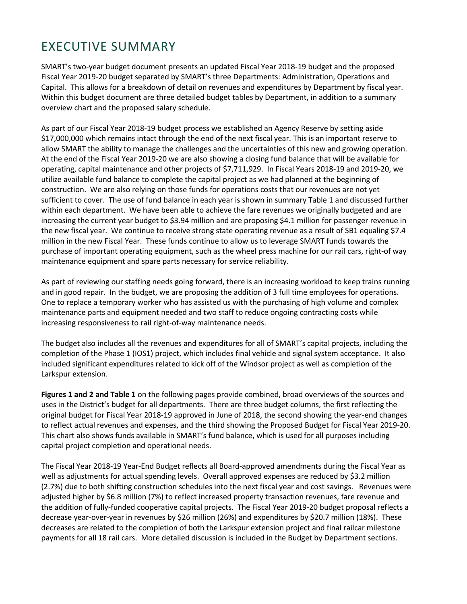## EXECUTIVE SUMMARY

SMART's two-year budget document presents an updated Fiscal Year 2018-19 budget and the proposed Fiscal Year 2019-20 budget separated by SMART's three Departments: Administration, Operations and Capital. This allows for a breakdown of detail on revenues and expenditures by Department by fiscal year. Within this budget document are three detailed budget tables by Department, in addition to a summary overview chart and the proposed salary schedule.

As part of our Fiscal Year 2018-19 budget process we established an Agency Reserve by setting aside \$17,000,000 which remains intact through the end of the next fiscal year. This is an important reserve to allow SMART the ability to manage the challenges and the uncertainties of this new and growing operation. At the end of the Fiscal Year 2019-20 we are also showing a closing fund balance that will be available for operating, capital maintenance and other projects of \$7,711,929. In Fiscal Years 2018-19 and 2019-20, we utilize available fund balance to complete the capital project as we had planned at the beginning of construction. We are also relying on those funds for operations costs that our revenues are not yet sufficient to cover. The use of fund balance in each year is shown in summary Table 1 and discussed further within each department. We have been able to achieve the fare revenues we originally budgeted and are increasing the current year budget to \$3.94 million and are proposing \$4.1 million for passenger revenue in the new fiscal year. We continue to receive strong state operating revenue as a result of SB1 equaling \$7.4 million in the new Fiscal Year. These funds continue to allow us to leverage SMART funds towards the purchase of important operating equipment, such as the wheel press machine for our rail cars, right-of way maintenance equipment and spare parts necessary for service reliability.

As part of reviewing our staffing needs going forward, there is an increasing workload to keep trains running and in good repair. In the budget, we are proposing the addition of 3 full time employees for operations. One to replace a temporary worker who has assisted us with the purchasing of high volume and complex maintenance parts and equipment needed and two staff to reduce ongoing contracting costs while increasing responsiveness to rail right-of-way maintenance needs.

The budget also includes all the revenues and expenditures for all of SMART's capital projects, including the completion of the Phase 1 (IOS1) project, which includes final vehicle and signal system acceptance. It also included significant expenditures related to kick off of the Windsor project as well as completion of the Larkspur extension.

**Figures 1 and 2 and Table 1** on the following pages provide combined, broad overviews of the sources and uses in the District's budget for all departments. There are three budget columns, the first reflecting the original budget for Fiscal Year 2018-19 approved in June of 2018, the second showing the year-end changes to reflect actual revenues and expenses, and the third showing the Proposed Budget for Fiscal Year 2019-20. This chart also shows funds available in SMART's fund balance, which is used for all purposes including capital project completion and operational needs.

The Fiscal Year 2018-19 Year-End Budget reflects all Board-approved amendments during the Fiscal Year as well as adjustments for actual spending levels. Overall approved expenses are reduced by \$3.2 million (2.7%) due to both shifting construction schedules into the next fiscal year and cost savings. Revenues were adjusted higher by \$6.8 million (7%) to reflect increased property transaction revenues, fare revenue and the addition of fully-funded cooperative capital projects. The Fiscal Year 2019-20 budget proposal reflects a decrease year-over-year in revenues by \$26 million (26%) and expenditures by \$20.7 million (18%). These decreases are related to the completion of both the Larkspur extension project and final railcar milestone payments for all 18 rail cars. More detailed discussion is included in the Budget by Department sections.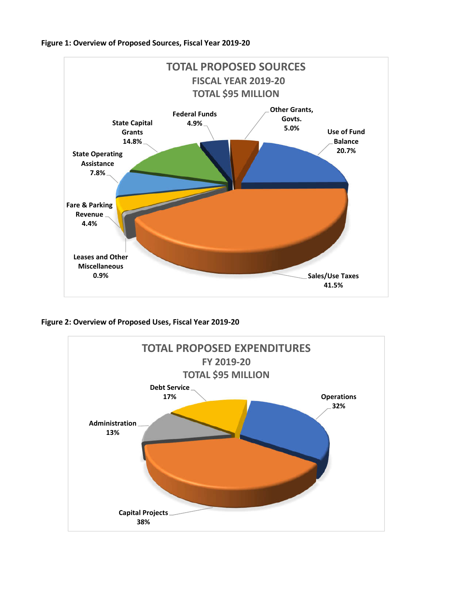



**Figure 2: Overview of Proposed Uses, Fiscal Year 2019-20**

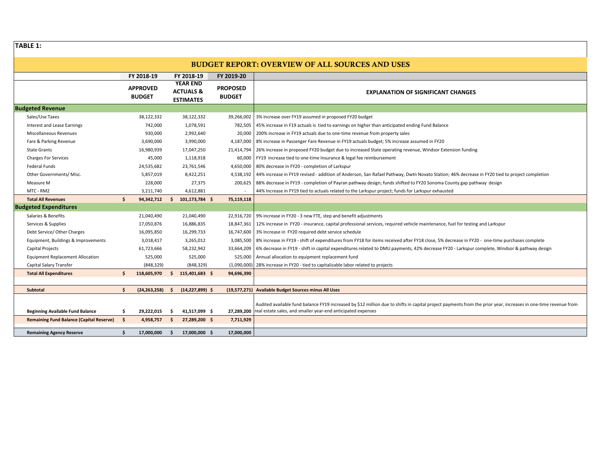**TABLE 1:**

#### **BUDGET REPORT: OVERVIEW OF ALL SOURCES AND USES**

|                                                 |      | FY 2018-19                       |     | FY 2018-19                                                  | FY 2019-20                       |                                                                                                                                                                                                                                            |
|-------------------------------------------------|------|----------------------------------|-----|-------------------------------------------------------------|----------------------------------|--------------------------------------------------------------------------------------------------------------------------------------------------------------------------------------------------------------------------------------------|
|                                                 |      | <b>APPROVED</b><br><b>BUDGET</b> |     | <b>YEAR END</b><br><b>ACTUALS &amp;</b><br><b>ESTIMATES</b> | <b>PROPOSED</b><br><b>BUDGET</b> | <b>EXPLANATION OF SIGNIFICANT CHANGES</b>                                                                                                                                                                                                  |
| <b>Budgeted Revenue</b>                         |      |                                  |     |                                                             |                                  |                                                                                                                                                                                                                                            |
| Sales/Use Taxes                                 |      | 38,122,332                       |     | 38,122,332                                                  |                                  | 39,266,002 3% increase over FY19 assumed in proposed FY20 budget                                                                                                                                                                           |
| Interest and Lease Earnings                     |      | 742,000                          |     | 1,078,591                                                   | 782,505                          | 45% increase in F19 actuals is tied to earnings on higher than anticipated ending Fund Balance                                                                                                                                             |
| Miscellaneous Revenues                          |      | 930,000                          |     | 2,992,640                                                   | 20,000                           | 200% increase in FY19 actuals due to one-time revenue from property sales                                                                                                                                                                  |
| Fare & Parking Revenue                          |      | 3,690,000                        |     | 3,990,000                                                   | 4,187,000                        | 8% increase in Passenger Fare Revenue in FY19 actuals budget; 5% increase assumed in FY20                                                                                                                                                  |
| <b>State Grants</b>                             |      | 16,980,939                       |     | 17,047,250                                                  |                                  | 21,414,794 26% increase in proposed FY20 budget due to increased State operating revenue, Windsor Extension funding                                                                                                                        |
| <b>Charges For Services</b>                     |      | 45,000                           |     | 1,118,918                                                   |                                  | 60,000   FY19 increase tied to one-time Insurance & legal fee reimbursement                                                                                                                                                                |
| Federal Funds                                   |      | 24,535,682                       |     | 23,761,546                                                  | 4,650,000                        | 80% decrease in FY20 - completion of Larkspur                                                                                                                                                                                              |
| Other Governments/ Misc.                        |      | 5,857,019                        |     | 8,422,251                                                   | 4,538,192                        | 44% increase in FY19 revised - addition of Anderson, San Rafael Pathway, Dwtn Novato Station; 46% decrease in FY20 tied to project completion                                                                                              |
| Measure M                                       |      | 228,000                          |     | 27,375                                                      | 200,625                          | 88% decrease in FY19 - completion of Payran pathway design; funds shifted to FY20 Sonoma County gap pathway design                                                                                                                         |
| MTC - RM2                                       |      | 3,211,740                        |     | 4,612,881                                                   |                                  | 44% Increase in FY19 tied to actuals related to the Larkspur project; funds for Larkspur exhausted                                                                                                                                         |
| <b>Total All Revenues</b>                       | Ś.   | 94,342,712                       | Ŝ.  | 101,173,784 \$                                              | 75,119,118                       |                                                                                                                                                                                                                                            |
| <b>Budgeted Expenditures</b>                    |      |                                  |     |                                                             |                                  |                                                                                                                                                                                                                                            |
| Salaries & Benefits                             |      | 21,040,490                       |     | 21,040,490                                                  |                                  | 22,916,720   9% increase in FY20 - 3 new FTE, step and benefit adjustments                                                                                                                                                                 |
| Services & Supplies                             |      | 17,050,876                       |     | 16,886,835                                                  |                                  | 18,847,361   12% increase in FY20 - insurance, capital professional services, required vehicle maintenance, fuel for testing and Larkspur                                                                                                  |
| Debt Service/ Other Charges                     |      | 16,095,850                       |     | 16,299,733                                                  |                                  | 16,747,600   3% Increase in FY20 required debt service schedule                                                                                                                                                                            |
| Equipment, Buildings & Improvements             |      | 3,018,417                        |     | 3,265,012                                                   |                                  | 3,085,500   8% increase in FY19 - shift of expenditures from FY18 for items received after FY18 close, 5% decrease in FY20 - one-time purchases complete                                                                                   |
| Capital Projects                                |      | 61,723,666                       |     | 58,232,942                                                  | 33,664,209                       | 6% decrease in FY19 - shift in capital expenditures related to DMU payments, 42% decrease FY20 - Larkspur complete, Windsor & pathway design                                                                                               |
| <b>Equipment Replacement Allocation</b>         |      | 525,000                          |     | 525,000                                                     |                                  | 525,000 Annual allocation to equipment replacement fund                                                                                                                                                                                    |
| Capital Salary Transfer                         |      | (848, 329)                       |     | (848, 329)                                                  |                                  | (1,090,000) 28% increase in FY20 - tied to capitalizable labor related to projects                                                                                                                                                         |
| <b>Total All Expenditures</b>                   | Ŝ.   | 118,605,970                      |     | 115,401,683 \$                                              | 94,696,390                       |                                                                                                                                                                                                                                            |
|                                                 |      |                                  |     |                                                             |                                  |                                                                                                                                                                                                                                            |
| <b>Subtotal</b>                                 | Ś    | (24, 263, 258)                   | - Ś | $(14, 227, 899)$ \$                                         |                                  | (19,577,271) Available Budget Sources minus All Uses                                                                                                                                                                                       |
| <b>Beginning Available Fund Balance</b>         | Ŝ.   | 29,222,015                       | -S  | 41,517,099 \$                                               |                                  | Audited available fund balance FY19 increased by \$12 million due to shifts in capital project payments from the prior year, increases in one-time revenue from<br>27.289.200 real estate sales, and smaller year-end anticipated expenses |
| <b>Remaining Fund Balance (Capital Reserve)</b> | - \$ | 4,958,757                        | - Ś | 27,289,200 \$                                               | 7,711,929                        |                                                                                                                                                                                                                                            |
| <b>Remaining Agency Reserve</b>                 | Ś    | 17,000,000                       | Ŝ   | 17,000,000 \$                                               | 17,000,000                       |                                                                                                                                                                                                                                            |
|                                                 |      |                                  |     |                                                             |                                  |                                                                                                                                                                                                                                            |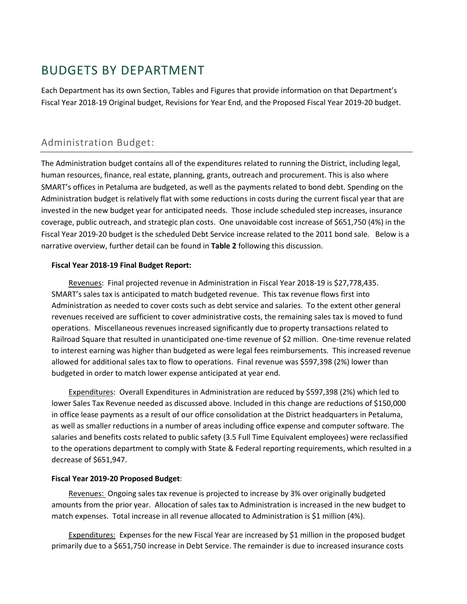## BUDGETS BY DEPARTMENT

Each Department has its own Section, Tables and Figures that provide information on that Department's Fiscal Year 2018-19 Original budget, Revisions for Year End, and the Proposed Fiscal Year 2019-20 budget.

### Administration Budget:

The Administration budget contains all of the expenditures related to running the District, including legal, human resources, finance, real estate, planning, grants, outreach and procurement. This is also where SMART's offices in Petaluma are budgeted, as well as the payments related to bond debt. Spending on the Administration budget is relatively flat with some reductions in costs during the current fiscal year that are invested in the new budget year for anticipated needs. Those include scheduled step increases, insurance coverage, public outreach, and strategic plan costs. One unavoidable cost increase of \$651,750 (4%) in the Fiscal Year 2019-20 budget is the scheduled Debt Service increase related to the 2011 bond sale. Below is a narrative overview, further detail can be found in **Table 2** following this discussion.

#### **Fiscal Year 2018-19 Final Budget Report:**

Revenues: Final projected revenue in Administration in Fiscal Year 2018-19 is \$27,778,435. SMART's sales tax is anticipated to match budgeted revenue. This tax revenue flows first into Administration as needed to cover costs such as debt service and salaries. To the extent other general revenues received are sufficient to cover administrative costs, the remaining sales tax is moved to fund operations. Miscellaneous revenues increased significantly due to property transactions related to Railroad Square that resulted in unanticipated one-time revenue of \$2 million. One-time revenue related to interest earning was higher than budgeted as were legal fees reimbursements. This increased revenue allowed for additional sales tax to flow to operations. Final revenue was \$597,398 (2%) lower than budgeted in order to match lower expense anticipated at year end.

Expenditures: Overall Expenditures in Administration are reduced by \$597,398 (2%) which led to lower Sales Tax Revenue needed as discussed above. Included in this change are reductions of \$150,000 in office lease payments as a result of our office consolidation at the District headquarters in Petaluma, as well as smaller reductions in a number of areas including office expense and computer software. The salaries and benefits costs related to public safety (3.5 Full Time Equivalent employees) were reclassified to the operations department to comply with State & Federal reporting requirements, which resulted in a decrease of \$651,947.

#### **Fiscal Year 2019-20 Proposed Budget**:

Revenues: Ongoing sales tax revenue is projected to increase by 3% over originally budgeted amounts from the prior year. Allocation of sales tax to Administration is increased in the new budget to match expenses. Total increase in all revenue allocated to Administration is \$1 million (4%).

Expenditures: Expenses for the new Fiscal Year are increased by \$1 million in the proposed budget primarily due to a \$651,750 increase in Debt Service. The remainder is due to increased insurance costs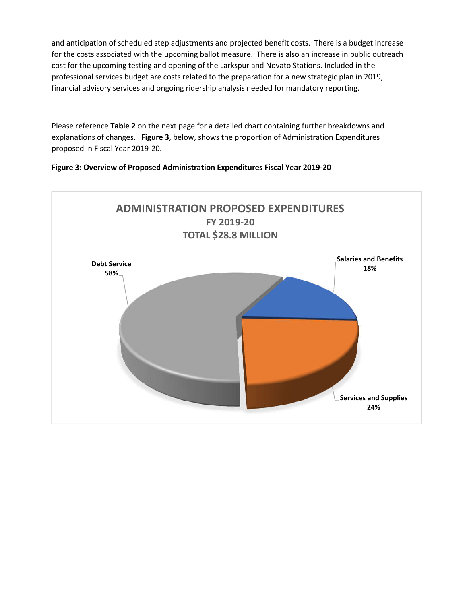and anticipation of scheduled step adjustments and projected benefit costs. There is a budget increase for the costs associated with the upcoming ballot measure. There is also an increase in public outreach cost for the upcoming testing and opening of the Larkspur and Novato Stations. Included in the professional services budget are costs related to the preparation for a new strategic plan in 2019, financial advisory services and ongoing ridership analysis needed for mandatory reporting.

Please reference **Table 2** on the next page for a detailed chart containing further breakdowns and explanations of changes. **Figure 3**, below, shows the proportion of Administration Expenditures proposed in Fiscal Year 2019-20.



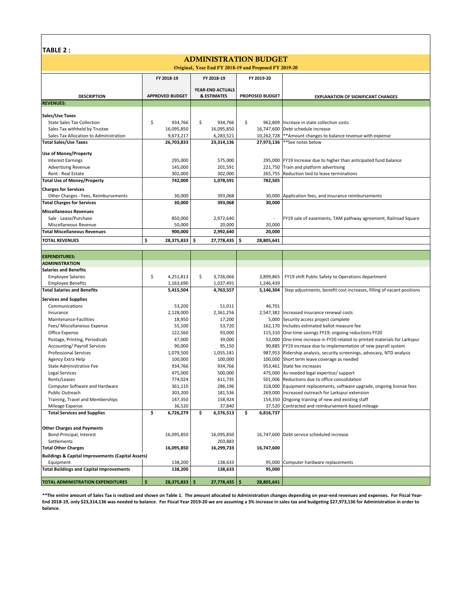| TABLE |  |
|-------|--|
|-------|--|

#### **ADMINISTRATION BUDGET**

| Original, Year End FY 2018-19 and Proposed FY 2019-20        |                        |                        |                        |                                                                         |  |  |  |  |  |  |  |
|--------------------------------------------------------------|------------------------|------------------------|------------------------|-------------------------------------------------------------------------|--|--|--|--|--|--|--|
|                                                              | FY 2018-19             | FY 2018-19             | FY 2019-20             |                                                                         |  |  |  |  |  |  |  |
|                                                              |                        |                        |                        |                                                                         |  |  |  |  |  |  |  |
|                                                              |                        | YEAR-END ACTUALS       |                        |                                                                         |  |  |  |  |  |  |  |
| <b>DESCRIPTION</b>                                           | <b>APPROVED BUDGET</b> | & ESTIMATES            | <b>PROPOSED BUDGET</b> | <b>EXPLANATION OF SIGNIFICANT CHANGES</b>                               |  |  |  |  |  |  |  |
| <b>REVENUES:</b>                                             |                        |                        |                        |                                                                         |  |  |  |  |  |  |  |
| Sales/Use Taxes                                              |                        |                        |                        |                                                                         |  |  |  |  |  |  |  |
| <b>State Sales Tax Collection</b>                            | \$<br>934,766          | \$<br>934,766          | \$<br>962,809          | Increase in state collection costs                                      |  |  |  |  |  |  |  |
| Sales Tax withheld by Trustee                                | 16,095,850             | 16,095,850             | 16,747,600             | Debt schedule increase                                                  |  |  |  |  |  |  |  |
| Sales Tax Allocation to Administration                       | 9,673,217              | 6,283,521              | 10,262,728             | ** Amount changes to balance revenue with expense                       |  |  |  |  |  |  |  |
| <b>Total Sales/Use Taxes</b>                                 | 26,703,833             | 23,314,136             | 27,973,136             | **See notes below                                                       |  |  |  |  |  |  |  |
|                                                              |                        |                        |                        |                                                                         |  |  |  |  |  |  |  |
| <b>Use of Money/Property</b>                                 |                        |                        |                        |                                                                         |  |  |  |  |  |  |  |
| <b>Interest Earnings</b>                                     | 295,000                | 575,000                |                        | 295,000 FY19 Increase due to higher than anticipated fund balance       |  |  |  |  |  |  |  |
| <b>Advertising Revenue</b>                                   | 145,000                | 201,591                |                        | 221,750 Train and platform advertising                                  |  |  |  |  |  |  |  |
| Rent - Real Estate                                           | 302,000                | 302,000                | 265,755                | Reduction tied to lease terminations                                    |  |  |  |  |  |  |  |
| <b>Total Use of Money/Property</b>                           | 742,000                | 1,078,591              | 782,505                |                                                                         |  |  |  |  |  |  |  |
| <b>Charges for Services</b>                                  |                        |                        |                        |                                                                         |  |  |  |  |  |  |  |
| Other Charges - Fees, Reimbursements                         | 30,000                 | 393,068                | 30,000                 | Application fees, and insurance reimbursements                          |  |  |  |  |  |  |  |
| <b>Total Charges for Services</b>                            | 30,000                 | 393,068                | 30,000                 |                                                                         |  |  |  |  |  |  |  |
| <b>Miscellaneous Revenues</b>                                |                        |                        |                        |                                                                         |  |  |  |  |  |  |  |
| Sale - Lease/Purchase                                        | 850,000                | 2,972,640              |                        | FY19 sale of easements, TAM pathway agreement, Railroad Square          |  |  |  |  |  |  |  |
| Miscellaneous Revenue                                        | 50,000                 | 20,000                 | 20,000                 |                                                                         |  |  |  |  |  |  |  |
| <b>Total Miscellaneous Revenues</b>                          | 900,000                | 2,992,640              | 20,000                 |                                                                         |  |  |  |  |  |  |  |
|                                                              | \$<br>28,375,833       | \$.                    | \$                     |                                                                         |  |  |  |  |  |  |  |
| <b>TOTAL REVENUES</b>                                        |                        | 27,778,435             | 28,805,641             |                                                                         |  |  |  |  |  |  |  |
|                                                              |                        |                        |                        |                                                                         |  |  |  |  |  |  |  |
| <b>EXPENDITURES:</b>                                         |                        |                        |                        |                                                                         |  |  |  |  |  |  |  |
| <b>ADMINISTRATION</b>                                        |                        |                        |                        |                                                                         |  |  |  |  |  |  |  |
| <b>Salaries and Benefits</b>                                 |                        |                        |                        |                                                                         |  |  |  |  |  |  |  |
| <b>Employee Salaries</b>                                     | \$<br>4,251,813        | \$<br>3,726,066        | 3,899,865              | FY19 shift Public Safety to Operations department                       |  |  |  |  |  |  |  |
| <b>Employee Benefits</b>                                     | 1,163,690              | 1,037,491              | 1,246,439              |                                                                         |  |  |  |  |  |  |  |
| <b>Total Salaries and Benefits</b>                           | 5,415,504              | 4,763,557              | 5,146,304              | Step adjustments, benefit cost increases, filling of vacant positions   |  |  |  |  |  |  |  |
| <b>Services and Supplies</b>                                 |                        |                        |                        |                                                                         |  |  |  |  |  |  |  |
| Communications                                               | 53,200                 | 51,011                 | 46,701                 |                                                                         |  |  |  |  |  |  |  |
| Insurance                                                    | 2,128,000              | 2,361,256              |                        | 2,547,382 Increased insurance renewal costs                             |  |  |  |  |  |  |  |
| Maintenance-Facilities                                       | 18,950                 | 17,200                 | 5,000                  | Security access project complete                                        |  |  |  |  |  |  |  |
| Fees/ Miscellaneous Expense                                  | 55,100                 | 53,720                 | 162,170                | Includes estimated ballot measure fee                                   |  |  |  |  |  |  |  |
| Office Expense                                               | 122,560                | 93,000                 | 115,310                | One-time savings FY19; ongoing reductions FY20                          |  |  |  |  |  |  |  |
| Postage, Printing, Periodicals                               | 47,000                 | 39,000                 | 53,000                 | One-time increase in FY20 related to printed materials for Larkspur     |  |  |  |  |  |  |  |
| Accounting/ Payroll Services                                 | 90,000                 | 95,150                 | 90,885                 | FY19 increase due to implementation of new payroll system               |  |  |  |  |  |  |  |
| <b>Professional Services</b>                                 | 1,079,500              | 1,055,181              |                        | 987,953 Ridership analysis, security screenings, advocacy, NTD analysis |  |  |  |  |  |  |  |
| Agency Extra Help                                            | 100,000                | 100,000                | 100,000                | Short term leave coverage as needed                                     |  |  |  |  |  |  |  |
| State Administrative Fee                                     | 934,766                | 934,766                | 953,461                | State fee increases                                                     |  |  |  |  |  |  |  |
| Legal Services                                               | 475,000                | 500,000                | 475,000                | As-needed legal expertise/ support                                      |  |  |  |  |  |  |  |
| Rents/Leases                                                 | 774,024                | 611,735                | 501,006                | Reductions due to office consolidation                                  |  |  |  |  |  |  |  |
| Computer Software and Hardware                               | 361,110                | 286,196                | 318,000                | Equipment replacements, software upgrade, ongoing license fees          |  |  |  |  |  |  |  |
| Public Outreach                                              | 303,200                | 181,536                | 269,000                | Increased outreach for Larkspur extension                               |  |  |  |  |  |  |  |
| Training, Travel and Memberships                             | 147,350                | 158,924                |                        | 154,350 Ongoing training of new and existing staff                      |  |  |  |  |  |  |  |
| Mileage Expense                                              | 36,520                 | 37,840                 |                        | 37,520 Contracted and reimbursement-based mileage                       |  |  |  |  |  |  |  |
| <b>Total Services and Supplies</b>                           | \$<br>6,726,279        | \$<br>6,576,513        | \$<br>6,816,737        |                                                                         |  |  |  |  |  |  |  |
|                                                              |                        |                        |                        |                                                                         |  |  |  |  |  |  |  |
| <b>Other Charges and Payments</b>                            |                        |                        |                        |                                                                         |  |  |  |  |  |  |  |
| Bond Principal, Interest                                     | 16,095,850             | 16,095,850             |                        | 16,747,600 Debt service scheduled increase                              |  |  |  |  |  |  |  |
| Settlements                                                  |                        | 203,883                |                        |                                                                         |  |  |  |  |  |  |  |
| <b>Total Other Charges</b>                                   | 16,095,850             | 16,299,733             | 16,747,600             |                                                                         |  |  |  |  |  |  |  |
| <b>Buildings &amp; Capital Improvements (Capital Assets)</b> |                        |                        |                        |                                                                         |  |  |  |  |  |  |  |
| Equipment                                                    | 138,200                | 138,633                | 95,000                 | Computer hardware replacements                                          |  |  |  |  |  |  |  |
| <b>Total Buildings and Capital Improvements</b>              | 138,200                | 138,633                | 95,000                 |                                                                         |  |  |  |  |  |  |  |
|                                                              |                        |                        |                        |                                                                         |  |  |  |  |  |  |  |
| TOTAL ADMINISTRATION EXPENDITURES                            | Ś.<br>28,375,833       | -\$<br>$27,778,435$ \$ | 28,805,641             |                                                                         |  |  |  |  |  |  |  |

**\*\*The entire amount of Sales Tax is realized and shown on Table 1. The amount allocated to Administration changes depending on year-end revenues and expenses. For Fiscal Year-End 2018-19, only \$23,314,136 was needed to balance. For Fiscal Year 2019-20 we are assuming a 3% increase in sales tax and budgeting \$27,973,136 for Administration in order to balance.**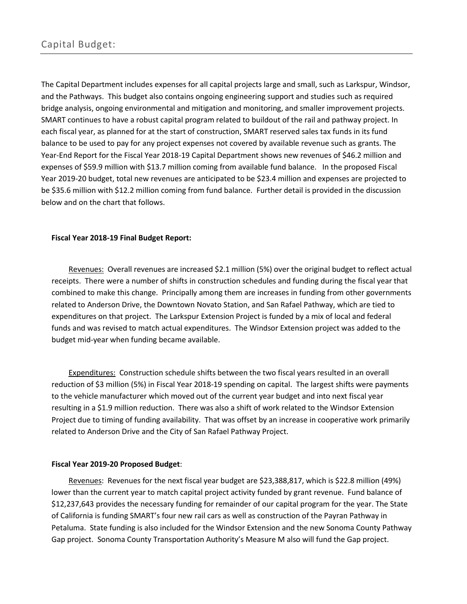The Capital Department includes expenses for all capital projects large and small, such as Larkspur, Windsor, and the Pathways. This budget also contains ongoing engineering support and studies such as required bridge analysis, ongoing environmental and mitigation and monitoring, and smaller improvement projects. SMART continues to have a robust capital program related to buildout of the rail and pathway project. In each fiscal year, as planned for at the start of construction, SMART reserved sales tax funds in its fund balance to be used to pay for any project expenses not covered by available revenue such as grants. The Year-End Report for the Fiscal Year 2018-19 Capital Department shows new revenues of \$46.2 million and expenses of \$59.9 million with \$13.7 million coming from available fund balance. In the proposed Fiscal Year 2019-20 budget, total new revenues are anticipated to be \$23.4 million and expenses are projected to be \$35.6 million with \$12.2 million coming from fund balance. Further detail is provided in the discussion below and on the chart that follows.

#### **Fiscal Year 2018-19 Final Budget Report:**

Revenues: Overall revenues are increased \$2.1 million (5%) over the original budget to reflect actual receipts. There were a number of shifts in construction schedules and funding during the fiscal year that combined to make this change. Principally among them are increases in funding from other governments related to Anderson Drive, the Downtown Novato Station, and San Rafael Pathway, which are tied to expenditures on that project. The Larkspur Extension Project is funded by a mix of local and federal funds and was revised to match actual expenditures. The Windsor Extension project was added to the budget mid-year when funding became available.

Expenditures: Construction schedule shifts between the two fiscal years resulted in an overall reduction of \$3 million (5%) in Fiscal Year 2018-19 spending on capital. The largest shifts were payments to the vehicle manufacturer which moved out of the current year budget and into next fiscal year resulting in a \$1.9 million reduction. There was also a shift of work related to the Windsor Extension Project due to timing of funding availability. That was offset by an increase in cooperative work primarily related to Anderson Drive and the City of San Rafael Pathway Project.

#### **Fiscal Year 2019-20 Proposed Budget**:

Revenues: Revenues for the next fiscal year budget are \$23,388,817, which is \$22.8 million (49%) lower than the current year to match capital project activity funded by grant revenue. Fund balance of \$12,237,643 provides the necessary funding for remainder of our capital program for the year. The State of California is funding SMART's four new rail cars as well as construction of the Payran Pathway in Petaluma. State funding is also included for the Windsor Extension and the new Sonoma County Pathway Gap project. Sonoma County Transportation Authority's Measure M also will fund the Gap project.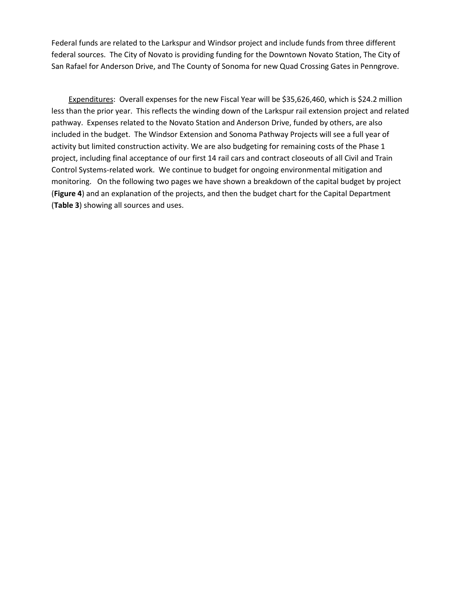Federal funds are related to the Larkspur and Windsor project and include funds from three different federal sources. The City of Novato is providing funding for the Downtown Novato Station, The City of San Rafael for Anderson Drive, and The County of Sonoma for new Quad Crossing Gates in Penngrove.

Expenditures: Overall expenses for the new Fiscal Year will be \$35,626,460, which is \$24.2 million less than the prior year. This reflects the winding down of the Larkspur rail extension project and related pathway. Expenses related to the Novato Station and Anderson Drive, funded by others, are also included in the budget. The Windsor Extension and Sonoma Pathway Projects will see a full year of activity but limited construction activity. We are also budgeting for remaining costs of the Phase 1 project, including final acceptance of our first 14 rail cars and contract closeouts of all Civil and Train Control Systems-related work. We continue to budget for ongoing environmental mitigation and monitoring. On the following two pages we have shown a breakdown of the capital budget by project (**Figure 4**) and an explanation of the projects, and then the budget chart for the Capital Department (**Table 3**) showing all sources and uses.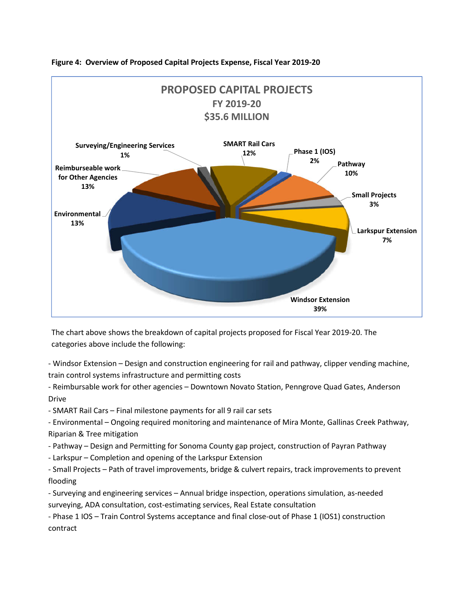

#### **Figure 4: Overview of Proposed Capital Projects Expense, Fiscal Year 2019-20**

The chart above shows the breakdown of capital projects proposed for Fiscal Year 2019-20. The categories above include the following:

- Windsor Extension – Design and construction engineering for rail and pathway, clipper vending machine, train control systems infrastructure and permitting costs

- Reimbursable work for other agencies – Downtown Novato Station, Penngrove Quad Gates, Anderson Drive

- SMART Rail Cars – Final milestone payments for all 9 rail car sets

- Environmental – Ongoing required monitoring and maintenance of Mira Monte, Gallinas Creek Pathway, Riparian & Tree mitigation

- Pathway – Design and Permitting for Sonoma County gap project, construction of Payran Pathway

- Larkspur – Completion and opening of the Larkspur Extension

- Small Projects – Path of travel improvements, bridge & culvert repairs, track improvements to prevent flooding

- Surveying and engineering services – Annual bridge inspection, operations simulation, as-needed surveying, ADA consultation, cost-estimating services, Real Estate consultation

- Phase 1 IOS – Train Control Systems acceptance and final close-out of Phase 1 (IOS1) construction contract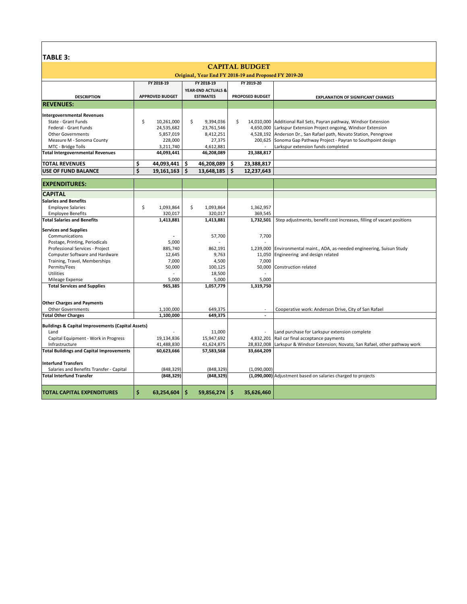## **TABLE 3.**

| TH DLE 3.                                                    |                        |                               |                        |                                                                       |  |  |  |  |  |  |  |
|--------------------------------------------------------------|------------------------|-------------------------------|------------------------|-----------------------------------------------------------------------|--|--|--|--|--|--|--|
|                                                              |                        |                               | <b>CAPITAL BUDGET</b>  |                                                                       |  |  |  |  |  |  |  |
| Original, Year End FY 2018-19 and Proposed FY 2019-20        |                        |                               |                        |                                                                       |  |  |  |  |  |  |  |
|                                                              | FY 2018-19             | FY 2018-19                    | FY 2019-20             |                                                                       |  |  |  |  |  |  |  |
|                                                              |                        | <b>YEAR-END ACTUALS &amp;</b> |                        |                                                                       |  |  |  |  |  |  |  |
| <b>DESCRIPTION</b>                                           | <b>APPROVED BUDGET</b> | <b>ESTIMATES</b>              | <b>PROPOSED BUDGET</b> | <b>EXPLANATION OF SIGNIFICANT CHANGES</b>                             |  |  |  |  |  |  |  |
| <b>REVENUES:</b>                                             |                        |                               |                        |                                                                       |  |  |  |  |  |  |  |
|                                                              |                        |                               |                        |                                                                       |  |  |  |  |  |  |  |
| <b>Intergovernmental Revenues</b>                            |                        |                               |                        |                                                                       |  |  |  |  |  |  |  |
| State - Grant Funds                                          | \$<br>10.261.000       | \$<br>9.394.036               | Ŝ.                     | 14,010,000 Additional Rail Sets, Payran pathway, Windsor Extension    |  |  |  |  |  |  |  |
| Federal - Grant Funds                                        | 24,535,682             | 23,761,546                    |                        | 4,650,000 Larkspur Extension Project ongoing, Windsor Extension       |  |  |  |  |  |  |  |
| <b>Other Governments</b>                                     | 5,857,019              | 8,412,251                     |                        | 4,528,192 Anderson Dr., San Rafael path, Novato Station, Penngrove    |  |  |  |  |  |  |  |
| Measure M - Sonoma County                                    | 228,000                | 27,375                        | 200,625                | Sonoma Gap Pathway Project - Payran to Southpoint design              |  |  |  |  |  |  |  |
| MTC - Bridge Tolls                                           | 3,211,740              | 4,612,881                     |                        | Larkspur extension funds completed                                    |  |  |  |  |  |  |  |
| <b>Total Intergovernmental Revenues</b>                      | 44,093,441             | 46,208,089                    | 23,388,817             |                                                                       |  |  |  |  |  |  |  |
| <b>TOTAL REVENUES</b>                                        | \$<br>44,093,441       | \$.<br>46,208,089             | \$<br>23,388,817       |                                                                       |  |  |  |  |  |  |  |
| <b>USE OF FUND BALANCE</b>                                   | \$<br>19,161,163       | Ś<br>13,648,185               | Ś<br>12,237,643        |                                                                       |  |  |  |  |  |  |  |
| <b>EXPENDITURES:</b>                                         |                        |                               |                        |                                                                       |  |  |  |  |  |  |  |
|                                                              |                        |                               |                        |                                                                       |  |  |  |  |  |  |  |
| <b>CAPITAL</b>                                               |                        |                               |                        |                                                                       |  |  |  |  |  |  |  |
| <b>Salaries and Benefits</b>                                 |                        |                               |                        |                                                                       |  |  |  |  |  |  |  |
| <b>Employee Salaries</b>                                     | \$<br>1,093,864        | \$<br>1,093,864               | 1,362,957              |                                                                       |  |  |  |  |  |  |  |
| <b>Employee Benefits</b>                                     | 320,017                | 320,017                       | 369,545                |                                                                       |  |  |  |  |  |  |  |
| <b>Total Salaries and Benefits</b>                           | 1,413,881              | 1,413,881                     | 1,732,501              | Step adjustments, benefit cost increases, filling of vacant positions |  |  |  |  |  |  |  |
| <b>Services and Supplies</b>                                 |                        |                               |                        |                                                                       |  |  |  |  |  |  |  |
| Communications                                               | $\blacksquare$         | 57,700                        | 7,700                  |                                                                       |  |  |  |  |  |  |  |
| Postage, Printing, Periodicals                               | 5,000                  |                               |                        |                                                                       |  |  |  |  |  |  |  |
| Professional Services - Project                              | 885,740                | 862,191                       | 1,239,000              | Environmental maint., ADA, as-needed engineering, Suisun Study        |  |  |  |  |  |  |  |
| Computer Software and Hardware                               | 12,645                 | 9,763                         | 11,050                 | Engineering and design related                                        |  |  |  |  |  |  |  |
| Training, Travel, Memberships                                | 7,000                  | 4,500                         | 7,000                  |                                                                       |  |  |  |  |  |  |  |
| Permits/Fees                                                 | 50,000                 | 100,125                       | 50,000                 | Construction related                                                  |  |  |  |  |  |  |  |
| Utilities                                                    |                        | 18,500                        |                        |                                                                       |  |  |  |  |  |  |  |
| Mileage Expense                                              | 5,000                  | 5,000                         | 5,000                  |                                                                       |  |  |  |  |  |  |  |
| <b>Total Services and Supplies</b>                           | 965,385                | 1,057,779                     | 1,319,750              |                                                                       |  |  |  |  |  |  |  |
|                                                              |                        |                               |                        |                                                                       |  |  |  |  |  |  |  |
| <b>Other Charges and Payments</b>                            |                        |                               |                        |                                                                       |  |  |  |  |  |  |  |
| <b>Other Governments</b>                                     | 1,100,000              | 649,375                       | ÷,                     | Cooperative work: Anderson Drive, City of San Rafael                  |  |  |  |  |  |  |  |
| <b>Total Other Charges</b>                                   | 1,100,000              | 649,375                       | $\overline{a}$         |                                                                       |  |  |  |  |  |  |  |
| <b>Buildings &amp; Capital Improvements (Capital Assets)</b> |                        |                               |                        |                                                                       |  |  |  |  |  |  |  |
| Land                                                         |                        | 11,000                        |                        | Land purchase for Larkspur extension complete                         |  |  |  |  |  |  |  |
| Capital Equipment - Work in Progress                         | 19,134,836             | 15,947,692                    | 4,832,201              | Rail car final acceptance payments                                    |  |  |  |  |  |  |  |
| Infrastructure                                               | 41,488,830             | 41,624,875                    | 28,832,008             | Larkspur & Windsor Extension; Novato, San Rafael, other pathway work  |  |  |  |  |  |  |  |
| <b>Total Buildings and Capital Improvements</b>              | 60,623,666             | 57,583,568                    | 33,664,209             |                                                                       |  |  |  |  |  |  |  |
| <b>Interfund Transfers</b>                                   |                        |                               |                        |                                                                       |  |  |  |  |  |  |  |
| Salaries and Benefits Transfer - Capital                     | (848, 329)             | (848, 329)                    | (1.090.000)            |                                                                       |  |  |  |  |  |  |  |
| <b>Total Interfund Transfer</b>                              | (848, 329)             | (848, 329)                    |                        | (1,090,000) Adjustment based on salaries charged to projects          |  |  |  |  |  |  |  |
|                                                              |                        |                               |                        |                                                                       |  |  |  |  |  |  |  |
| <b>TOTAL CAPITAL EXPENDITURES</b>                            | \$                     | -\$                           | \$<br>35,626,460       |                                                                       |  |  |  |  |  |  |  |
|                                                              | 63,254,604             | 59,856,274                    |                        |                                                                       |  |  |  |  |  |  |  |
|                                                              |                        |                               |                        |                                                                       |  |  |  |  |  |  |  |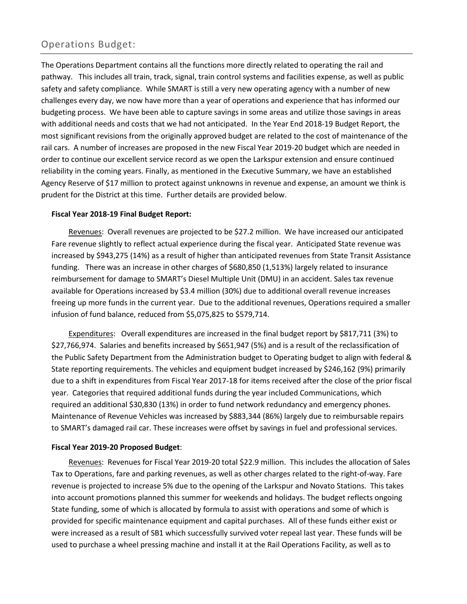### Operations Budget:

The Operations Department contains all the functions more directly related to operating the rail and pathway. This includes all train, track, signal, train control systems and facilities expense, as well as public safety and safety compliance. While SMART is still a very new operating agency with a number of new challenges every day, we now have more than a year of operations and experience that has informed our budgeting process. We have been able to capture savings in some areas and utilize those savings in areas with additional needs and costs that we had not anticipated. In the Year End 2018-19 Budget Report, the most significant revisions from the originally approved budget are related to the cost of maintenance of the rail cars. A number of increases are proposed in the new Fiscal Year 2019-20 budget which are needed in order to continue our excellent service record as we open the Larkspur extension and ensure continued reliability in the coming years. Finally, as mentioned in the Executive Summary, we have an established Agency Reserve of \$17 million to protect against unknowns in revenue and expense, an amount we think is prudent for the District at this time. Further details are provided below.

#### **Fiscal Year 2018-19 Final Budget Report:**

Revenues: Overall revenues are projected to be \$27.2 million. We have increased our anticipated Fare revenue slightly to reflect actual experience during the fiscal year. Anticipated State revenue was increased by \$943,275 (14%) as a result of higher than anticipated revenues from State Transit Assistance funding. There was an increase in other charges of \$680,850 (1,513%) largely related to insurance reimbursement for damage to SMART's Diesel Multiple Unit (DMU) in an accident. Sales tax revenue available for Operations increased by \$3.4 million (30%) due to additional overall revenue increases freeing up more funds in the current year. Due to the additional revenues, Operations required a smaller infusion of fund balance, reduced from \$5,075,825 to \$579,714.

Expenditures: Overall expenditures are increased in the final budget report by \$817,711 (3%) to \$27,766,974. Salaries and benefits increased by \$651,947 (5%) and is a result of the reclassification of the Public Safety Department from the Administration budget to Operating budget to align with federal & State reporting requirements. The vehicles and equipment budget increased by \$246,162 (9%) primarily due to a shift in expenditures from Fiscal Year 2017-18 for items received after the close of the prior fiscal year. Categories that required additional funds during the year included Communications, which required an additional \$30,830 (13%) in order to fund network redundancy and emergency phones. Maintenance of Revenue Vehicles was increased by \$883,344 (86%) largely due to reimbursable repairs to SMART's damaged rail car. These increases were offset by savings in fuel and professional services.

#### **Fiscal Year 2019-20 Proposed Budget**:

Revenues: Revenues for Fiscal Year 2019-20 total \$22.9 million. This includes the allocation of Sales Tax to Operations, fare and parking revenues, as well as other charges related to the right-of-way. Fare revenue is projected to increase 5% due to the opening of the Larkspur and Novato Stations. This takes into account promotions planned this summer for weekends and holidays. The budget reflects ongoing State funding, some of which is allocated by formula to assist with operations and some of which is provided for specific maintenance equipment and capital purchases. All of these funds either exist or were increased as a result of SB1 which successfully survived voter repeal last year. These funds will be used to purchase a wheel pressing machine and install it at the Rail Operations Facility, as well as to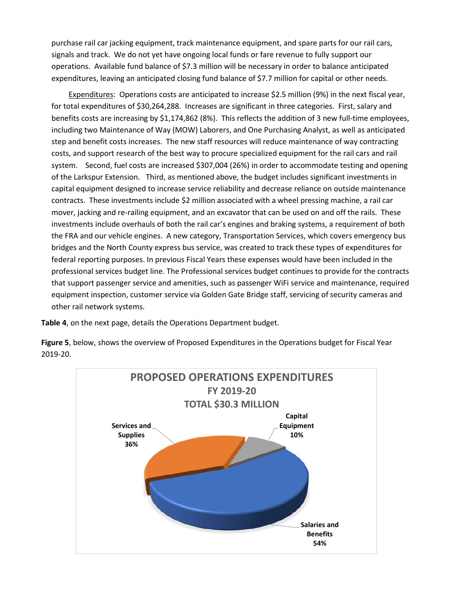purchase rail car jacking equipment, track maintenance equipment, and spare parts for our rail cars, signals and track. We do not yet have ongoing local funds or fare revenue to fully support our operations. Available fund balance of \$7.3 million will be necessary in order to balance anticipated expenditures, leaving an anticipated closing fund balance of \$7.7 million for capital or other needs.

Expenditures: Operations costs are anticipated to increase \$2.5 million (9%) in the next fiscal year, for total expenditures of \$30,264,288. Increases are significant in three categories. First, salary and benefits costs are increasing by \$1,174,862 (8%). This reflects the addition of 3 new full-time employees, including two Maintenance of Way (MOW) Laborers, and One Purchasing Analyst, as well as anticipated step and benefit costs increases. The new staff resources will reduce maintenance of way contracting costs, and support research of the best way to procure specialized equipment for the rail cars and rail system. Second, fuel costs are increased \$307,004 (26%) in order to accommodate testing and opening of the Larkspur Extension. Third, as mentioned above, the budget includes significant investments in capital equipment designed to increase service reliability and decrease reliance on outside maintenance contracts. These investments include \$2 million associated with a wheel pressing machine, a rail car mover, jacking and re-railing equipment, and an excavator that can be used on and off the rails. These investments include overhauls of both the rail car's engines and braking systems, a requirement of both the FRA and our vehicle engines. A new category, Transportation Services, which covers emergency bus bridges and the North County express bus service, was created to track these types of expenditures for federal reporting purposes. In previous Fiscal Years these expenses would have been included in the professional services budget line. The Professional services budget continues to provide for the contracts that support passenger service and amenities, such as passenger WiFi service and maintenance, required equipment inspection, customer service via Golden Gate Bridge staff, servicing of security cameras and other rail network systems.

**Table 4**, on the next page, details the Operations Department budget.

**Figure 5**, below, shows the overview of Proposed Expenditures in the Operations budget for Fiscal Year 2019-20.

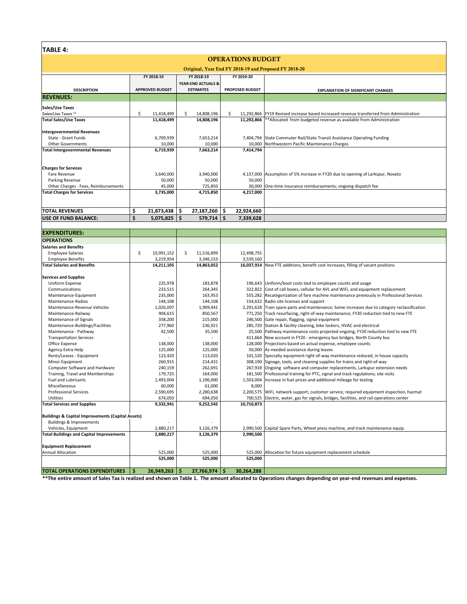| TABLE 4:                                              |                        |                           |    |                                                   |    |                        |                                                                                            |  |  |  |  |  |
|-------------------------------------------------------|------------------------|---------------------------|----|---------------------------------------------------|----|------------------------|--------------------------------------------------------------------------------------------|--|--|--|--|--|
| <b>OPERATIONS BUDGET</b>                              |                        |                           |    |                                                   |    |                        |                                                                                            |  |  |  |  |  |
| Original, Year End FY 2018-19 and Proposed FY 2018-20 |                        |                           |    |                                                   |    |                        |                                                                                            |  |  |  |  |  |
|                                                       |                        | FY 2018-19                |    | FY 2018-19                                        |    | FY 2019-20             |                                                                                            |  |  |  |  |  |
| <b>DESCRIPTION</b>                                    | <b>APPROVED BUDGET</b> |                           |    | <b>YEAR-END ACTUALS &amp;</b><br><b>ESTIMATES</b> |    | <b>PROPOSED BUDGET</b> | <b>EXPLANATION OF SIGNIFICANT CHANGES</b>                                                  |  |  |  |  |  |
| <b>REVENUES:</b>                                      |                        |                           |    |                                                   |    |                        |                                                                                            |  |  |  |  |  |
| Sales/Use Taxes                                       |                        |                           |    |                                                   |    |                        |                                                                                            |  |  |  |  |  |
| Sales/Use Taxes **                                    | \$                     | 11,418,499                | \$ | 14,808,196                                        | Ŝ. |                        | 11,292,866   FY19 Revised increase based increased revenue transferred from Administration |  |  |  |  |  |
| <b>Total Sales/Use Taxes</b>                          |                        | 11,418,499                |    | 14,808,196                                        |    |                        | 11,292,866 ** Allocated from budgeted revenue as available from Administration             |  |  |  |  |  |
| <b>Intergovernmental Revenues</b>                     |                        |                           |    |                                                   |    |                        |                                                                                            |  |  |  |  |  |
| State - Grant Funds                                   |                        | 6,709,939                 |    | 7,653,214                                         |    |                        | 7,404,794 State Commuter Rail/State Transit Assistance Operating Funding                   |  |  |  |  |  |
| <b>Other Governments</b>                              | 10,000                 |                           |    | 10,000                                            |    |                        | 10,000 Northwestern Pacific Maintenance Charges                                            |  |  |  |  |  |
| <b>Total Intergovernmental Revenues</b>               |                        | 6,719,939                 |    | 7,663,214                                         |    | 7,414,794              |                                                                                            |  |  |  |  |  |
|                                                       |                        |                           |    |                                                   |    |                        |                                                                                            |  |  |  |  |  |
| <b>Charges for Services</b>                           |                        |                           |    |                                                   |    |                        |                                                                                            |  |  |  |  |  |
| Fare Revenue                                          |                        | 3,640,000                 |    | 3,940,000                                         |    |                        | 4,137,000 Assumption of 5% increase in FY20 due to opening of Larkspur, Novato             |  |  |  |  |  |
| Parking Revenue                                       |                        | 50,000                    |    | 50,000                                            |    | 50,000                 |                                                                                            |  |  |  |  |  |
| Other Charges - Fees, Reimbursements                  |                        | 45,000                    |    | 725,850                                           |    |                        | 30,000 One-time insurance reimbursements; ongoing dispatch fee                             |  |  |  |  |  |
| <b>Total Charges for Services</b>                     |                        | 3,735,000                 |    | 4,715,850                                         |    | 4,217,000              |                                                                                            |  |  |  |  |  |
|                                                       |                        |                           |    |                                                   |    |                        |                                                                                            |  |  |  |  |  |
| <b>TOTAL REVENUES</b>                                 | \$                     | $21,873,438$ \$           |    | 27,187,260 \$                                     |    | 22,924,660             |                                                                                            |  |  |  |  |  |
| <b>USE OF FUND BALANCE:</b>                           | Ś                      | $5,075,825$ $\frac{1}{5}$ |    | $579,714$ \$                                      |    | 7,339,628              |                                                                                            |  |  |  |  |  |
|                                                       |                        |                           |    |                                                   |    |                        |                                                                                            |  |  |  |  |  |
| <b>EXPENDITURES:</b>                                  |                        |                           |    |                                                   |    |                        |                                                                                            |  |  |  |  |  |
| <b>OPERATIONS</b>                                     |                        |                           |    |                                                   |    |                        |                                                                                            |  |  |  |  |  |

| <b>OPERATIONS</b>                                 |                  |                        |            |                                                                                              |
|---------------------------------------------------|------------------|------------------------|------------|----------------------------------------------------------------------------------------------|
| <b>Salaries and Benefits</b>                      |                  |                        |            |                                                                                              |
| <b>Employee Salaries</b>                          | \$<br>10,991,152 | Ŝ.<br>11,516,899       | 12,498,755 |                                                                                              |
| <b>Employee Benefits</b>                          | 3,219,954        | 3,346,153              | 3,539,160  |                                                                                              |
| <b>Total Salaries and Benefits</b>                | 14,211,105       | 14,863,052             |            | 16,037,914 New FTE additions, benefit cost increases, filling of vacant positions            |
|                                                   |                  |                        |            |                                                                                              |
| <b>Services and Supplies</b>                      |                  |                        |            |                                                                                              |
| Uniform Expense                                   | 225,978          | 183,878                |            | 196,643 Uniform/boot costs tied to employee counts and usage                                 |
| Communications                                    | 233,515          | 264,345                |            | 322,822 Cost of call boxes, cellular for AVL and WiFi, and equipment replacement             |
| Maintenance-Equipment                             | 235,000          | 163,953                |            | 555,282 Recategorization of fare machine maintenance previously in Professional Services     |
| Maintenance-Radios                                | 144,108          | 144,108                |            | 154,632 Radio site licenses and support                                                      |
| Maintenance-Revenue Vehicles                      | 1,026,097        | 1,909,441              |            | 2,291,628 Train spare parts and maintenance; Some increases due to category reclassification |
| Maintenance-Railway                               | 904,615          | 850,567                |            | 771,250 Track resurfacing, right-of-way maintenance, FY20 reduction tied to new FTE          |
| Maintenance of Signals                            | 358,200          | 215,000                |            | 246,500 Gate repair, flagging, signal equipment                                              |
| Maintenance-Buildings/Facilities                  | 277,960          | 236,921                |            | 285,720 Station & facility cleaning, bike lockers, HVAC and electrical                       |
| Maintenance - Pathway                             | 42,500           | 35,500                 |            | 25,500 Pathway maintenance costs projected ongoing, FY20 reduction tied to new FTE           |
| <b>Transportation Services</b>                    |                  |                        |            | 411,664 New account in FY20 - emergency bus bridges, North County bus                        |
| Office Expense                                    | 138,000          | 138,000                |            | 128,000 Projections based on actual expense, employee counts                                 |
| Agency Extra Help                                 | 125,000          | 125,000                |            | 50,000 As-needed assistance during leaves                                                    |
| Rents/Leases - Equipment                          | 123,420          | 113,020                |            | 101,520 Specialty equipment right-of-way maintenance reduced, in house capacity              |
| Minor Equipment                                   | 260,915          | 214,431                |            | 308,190 Signage, tools, and cleaning supplies for trains and right-of-way                    |
| Computer Software and Hardware                    | 240,159          | 262,691                |            | 267,918 Ongoing software and computer replacements, Larkspur extension needs                 |
| Training, Travel and Memberships                  | 179,725          | 164,000                |            | 181,500 Professional training for PTC, signal and track regulations; site visits             |
| <b>Fuel and Lubricants</b>                        | 1,493,004        | 1,196,000              |            | 1,503,004 Increase in fuel prices and additional mileage for testing                         |
| Miscellaneous                                     | 60,000           | 61,000                 | 8,000      |                                                                                              |
| <b>Professional Services</b>                      | 2,590,695        | 2,280,638              |            | 2,200,575 WiFi, network support, customer service, required equipment inspection, hazmat     |
| Utilities                                         | 674,050          | 694,050                |            | 700,525 Electric, water, gas for signals, bridges, facilities, and rail operations center    |
| <b>Total Services and Supplies</b>                | 9,332,941        | 9,252,542              | 10,710,873 |                                                                                              |
|                                                   |                  |                        |            |                                                                                              |
| Buildings & Capital Improvements (Capital Assets) |                  |                        |            |                                                                                              |
| <b>Buildings &amp; Improvements</b>               |                  |                        |            |                                                                                              |
| Vehicles, Equipment                               | 2,880,217        | 3,126,379              |            | 2,990,500 Capital Spare Parts, Wheel press machine, and track maintenance equip.             |
| <b>Total Buildings and Capital Improvements</b>   | 2,880,217        | 3,126,379              | 2,990,500  |                                                                                              |
|                                                   |                  |                        |            |                                                                                              |
| <b>Equipment Replacement</b>                      |                  |                        |            |                                                                                              |
| <b>Annual Allocation</b>                          | 525,000          | 525,000                |            | 525,000 Allocation for future equipment replacement schedule                                 |
|                                                   | 525,000          | 525,000                | 525,000    |                                                                                              |
|                                                   |                  |                        |            |                                                                                              |
| <b>TOTAL OPERATIONS EXPENDITURES</b>              | Ś.<br>26,949,263 | $27,766,974$   \$<br>Ŝ | 30,264,288 |                                                                                              |

**\*\*The entire amount of Sales Tax is realized and shown on Table 1. The amount allocated to Operations changes depending on year-end revenues and expenses.**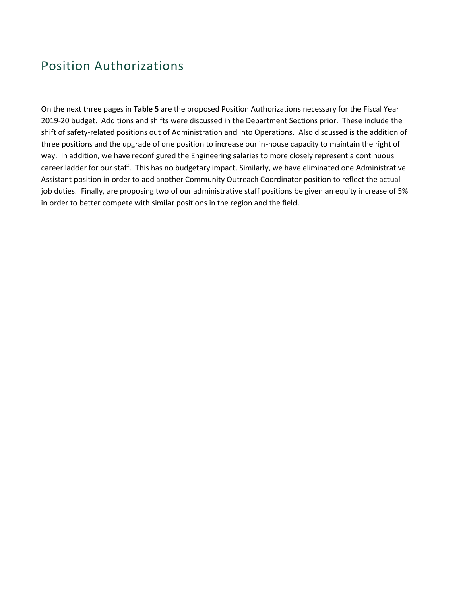## Position Authorizations

On the next three pages in **Table 5** are the proposed Position Authorizations necessary for the Fiscal Year 2019-20 budget. Additions and shifts were discussed in the Department Sections prior. These include the shift of safety-related positions out of Administration and into Operations. Also discussed is the addition of three positions and the upgrade of one position to increase our in-house capacity to maintain the right of way. In addition, we have reconfigured the Engineering salaries to more closely represent a continuous career ladder for our staff. This has no budgetary impact. Similarly, we have eliminated one Administrative Assistant position in order to add another Community Outreach Coordinator position to reflect the actual job duties. Finally, are proposing two of our administrative staff positions be given an equity increase of 5% in order to better compete with similar positions in the region and the field.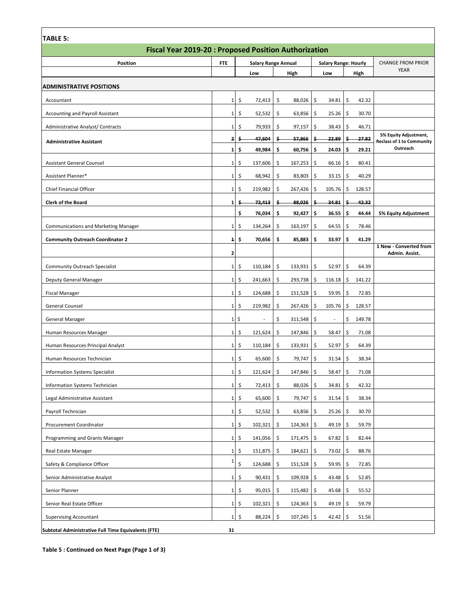| <b>TABLE 5:</b>                                             |              |     |                            |    |              |     |                             |    |        |                                                           |
|-------------------------------------------------------------|--------------|-----|----------------------------|----|--------------|-----|-----------------------------|----|--------|-----------------------------------------------------------|
| <b>Fiscal Year 2019-20: Proposed Position Authorization</b> |              |     |                            |    |              |     |                             |    |        |                                                           |
| <b>Position</b>                                             | FTE          |     | <b>Salary Range Annual</b> |    |              |     | <b>Salary Range: Hourly</b> |    |        | <b>CHANGE FROM PRIOR</b>                                  |
|                                                             |              |     | Low                        |    | High         |     | Low                         |    | High   | <b>YEAR</b>                                               |
| <b>ADMINISTRATIVE POSITIONS</b>                             |              |     |                            |    |              |     |                             |    |        |                                                           |
| Accountant                                                  | 1            | \$  | 72,413                     | \$ | 88,026       | \$  | 34.81                       | \$ | 42.32  |                                                           |
| <b>Accounting and Payroll Assistant</b>                     | 1            | \$  | 52,532                     | \$ | $63,856$ \$  |     | 25.26                       | \$ | 30.70  |                                                           |
| Administrative Analyst/ Contracts                           | 1            | -\$ | 79,933                     | \$ | $97,157$ \$  |     | 38.43                       | \$ | 46.71  |                                                           |
| <b>Administrative Assistant</b>                             | $\mathbf{2}$ | -S  | 47,604                     | s  | 57,866       | S   | 22.89                       | Ş  | 27.82  | 5% Equity Adjustment,<br><b>Reclass of 1 to Community</b> |
|                                                             | 1            | \$  | 49,984                     | \$ | 60,756       | \$  | 24.03                       | \$ | 29.21  | Outreach                                                  |
| <b>Assistant General Counsel</b>                            | 1            | \$  | 137,606                    | \$ | 167,253      | -\$ | 66.16                       | \$ | 80.41  |                                                           |
| Assistant Planner*                                          | 1            | \$  | 68,942                     | \$ | 83,803       | -\$ | 33.15                       | \$ | 40.29  |                                                           |
| Chief Financial Officer                                     | 1            | \$  | 219,982                    | \$ | 267,426      | \$  | 105.76                      | \$ | 128.57 |                                                           |
| <b>Clerk of the Board</b>                                   | 1            | \$  | 72,413                     | s  | 88,026       | Ś   | 34.81                       | s  | 42.32  |                                                           |
|                                                             |              | \$  | 76,034                     | \$ | 92,427       | \$  | 36.55                       | \$ | 44.44  | 5% Equity Adjustment                                      |
| <b>Communications and Marketing Manager</b>                 | $\mathbf{1}$ | \$  | 134,264                    | \$ | 163,197      | \$  | 64.55                       | \$ | 78.46  |                                                           |
| <b>Community Outreach Coordinator 2</b>                     | $\mathbf{1}$ | \$  | 70,656                     | \$ | 85,883       | \$  | 33.97                       | \$ | 41.29  |                                                           |
|                                                             | 2            |     |                            |    |              |     |                             |    |        | 1 New - Converted from<br>Admin. Assist.                  |
| <b>Community Outreach Specialist</b>                        | 1            | \$  | 110,184                    | \$ | 133,931      | \$  | 52.97                       | \$ | 64.39  |                                                           |
| Deputy General Manager                                      | 1            | \$  | 241,663                    | \$ | 293,738      | \$  | 116.18                      | \$ | 141.22 |                                                           |
| Fiscal Manager                                              | 1            | \$  | 124,688                    | \$ | 151,528      | -\$ | 59.95                       | \$ | 72.85  |                                                           |
| General Counsel                                             | 1            | \$  | 219,982                    | \$ | 267,426      | \$  | 105.76                      | \$ | 128.57 |                                                           |
| General Manager                                             | $1\vert$     | \$  |                            | \$ | $311,548$ \$ |     | ٠                           | \$ | 149.78 |                                                           |
| Human Resources Manager                                     | 1            | \$  | 121,624                    | \$ | 147,846      | -\$ | 58.47                       | \$ | 71.08  |                                                           |
| Human Resources Principal Analyst                           | 1            | \$  | 110,184                    | \$ | 133,931      | -\$ | 52.97                       | \$ | 64.39  |                                                           |
| Human Resources Technician                                  | 1            | \$  | 65,600                     | \$ | 79,747       | -\$ | 31.54                       | \$ | 38.34  |                                                           |
| <b>Information Systems Specialist</b>                       | 1            | \$  | 121,624                    | \$ | 147,846 \$   |     | 58.47                       | \$ | 71.08  |                                                           |
| Information Systems Technician                              | $1\vert$     | \$  | 72,413                     | \$ | 88,026       | \$  | 34.81                       | \$ | 42.32  |                                                           |
| Legal Administrative Assistant                              | $1\vert$     | \$  | 65,600                     | \$ | 79,747       | \$  | 31.54                       | \$ | 38.34  |                                                           |
| Payroll Technician                                          | $1\vert$     | \$  | 52,532                     | \$ | 63,856 \$    |     | $25.26$   \$                |    | 30.70  |                                                           |
| Procurement Coordinator                                     | $1\vert$     | \$  | 102,321                    | \$ | $124,363$ \$ |     | $49.19$ \$                  |    | 59.79  |                                                           |
| Programming and Grants Manager                              | $1\vert$     | \$  | 141,056                    | \$ | $171,475$ \$ |     | $67.82$ \$                  |    | 82.44  |                                                           |
| Real Estate Manager                                         | $1\vert$     | \$  | 151,875                    | \$ | 184,621 \$   |     | 73.02                       | \$ | 88.76  |                                                           |
| Safety & Compliance Officer                                 | 1            | \$  | 124,688                    | \$ | $151,528$ \$ |     | $59.95$ \$                  |    | 72.85  |                                                           |
| Senior Administrative Analyst                               | $1\,$        | \$  | 90,431                     | \$ | $109,928$ \$ |     | 43.48                       | \$ | 52.85  |                                                           |
| Senior Planner                                              | $1\vert$     | \$  | 95,015                     | \$ | $115,482$ \$ |     | $45.68$ \$                  |    | 55.52  |                                                           |
| Senior Real Estate Officer                                  | $1\vert$     | \$  | 102,321                    | \$ | 124,363 \$   |     | 49.19                       | \$ | 59.79  |                                                           |
| <b>Supervising Accountant</b>                               | $1\vert$     | \$  | 88,224                     | \$ | $107,245$ \$ |     | 42.42                       | \$ | 51.56  |                                                           |
| Subtotal Administrative Full Time Equivalents (FTE)         | 31           |     |                            |    |              |     |                             |    |        |                                                           |

 $\overline{\phantom{a}}$ 

**Table 5 : Continued on Next Page (Page 1 of 3)**

Г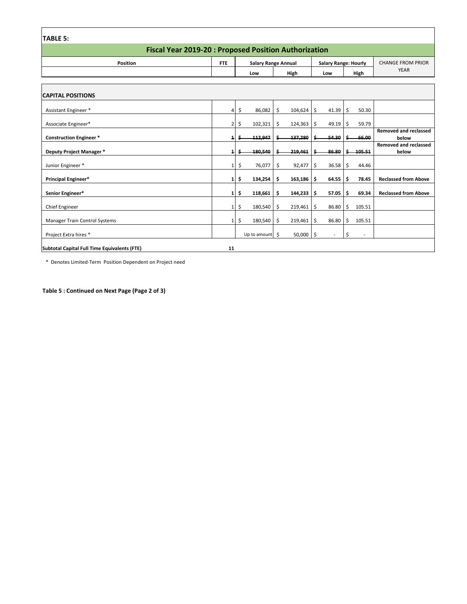| <b>TABLE 5:</b>                                             |                |                 |                            |                             |              |                                         |  |  |  |  |  |  |
|-------------------------------------------------------------|----------------|-----------------|----------------------------|-----------------------------|--------------|-----------------------------------------|--|--|--|--|--|--|
| <b>Fiscal Year 2019-20: Proposed Position Authorization</b> |                |                 |                            |                             |              |                                         |  |  |  |  |  |  |
| <b>Position</b>                                             | <b>FTE</b>     |                 | <b>Salary Range Annual</b> | <b>Salary Range: Hourly</b> |              | <b>CHANGE FROM PRIOR</b><br><b>YEAR</b> |  |  |  |  |  |  |
|                                                             |                | Low             | High                       | Low                         | High         |                                         |  |  |  |  |  |  |
| <b>CAPITAL POSITIONS</b>                                    |                |                 |                            |                             |              |                                         |  |  |  |  |  |  |
| Assistant Engineer *                                        | 4              | \$<br>86,082    | \$<br>104,624              | 41.39<br>Ŝ                  | \$<br>50.30  |                                         |  |  |  |  |  |  |
| Associate Engineer*                                         | $\overline{2}$ | 102,321<br>\$.  | \$<br>124,363              | 49.19<br>\$.                | 59.79<br>\$. |                                         |  |  |  |  |  |  |
| <b>Construction Engineer*</b>                               | $\mathbf{1}$   | 112,947         | 137,280                    | 54.30<br>Ś                  | 66.00<br>Ś.  | <b>Removed and reclassed</b><br>below   |  |  |  |  |  |  |
| Deputy Project Manager *                                    | 1              | 180,540         | 219,461                    | 86.80                       | 105.51       | <b>Removed and reclassed</b><br>below   |  |  |  |  |  |  |
| Junior Engineer *                                           | 1              | \$<br>76,077    | \$<br>92,477               | \$<br>36.58                 | \$<br>44.46  |                                         |  |  |  |  |  |  |
| Principal Engineer*                                         | 1              | \$<br>134,254   | \$<br>163,186              | -\$<br>64.55                | \$<br>78.45  | <b>Reclassed from Above</b>             |  |  |  |  |  |  |
| Senior Engineer*                                            | 1              | 118,661<br>Ŝ    | 144,233<br>\$              | 57.05<br>S                  | 69.34<br>Ś.  | <b>Reclassed from Above</b>             |  |  |  |  |  |  |
| Chief Engineer                                              | 1              | \$<br>180,540   | \$<br>$219,461$ \$         | 86.80                       | \$<br>105.51 |                                         |  |  |  |  |  |  |
| <b>Manager Train Control Systems</b>                        |                | \$<br>180,540   | \$<br>219,461              | \$<br>86.80                 | \$<br>105.51 |                                         |  |  |  |  |  |  |
| Project Extra hires *                                       |                | Up to amount \$ | $50,000$ \$                |                             | Ś<br>٠       |                                         |  |  |  |  |  |  |
| Subtotal Capital Full Time Equivalents (FTE)                | 11             |                 |                            |                             |              |                                         |  |  |  |  |  |  |

\* Denotes Limited-Term Position Dependent on Project need

**Table 5 : Continued on Next Page (Page 2 of 3)**